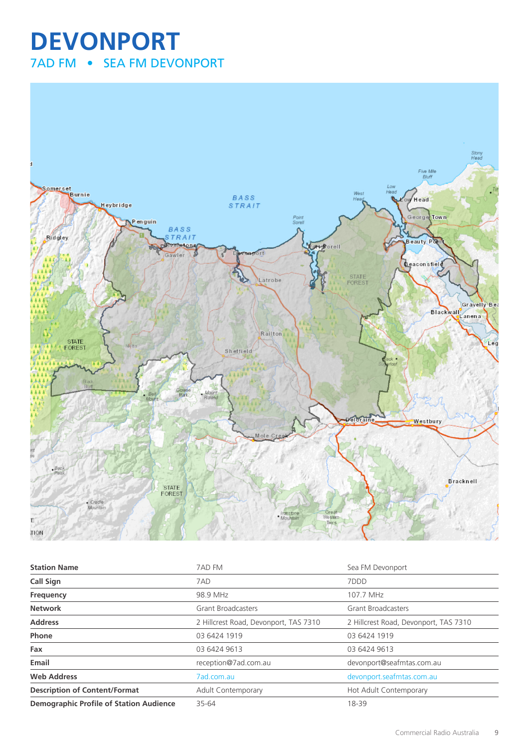## **DEVONPORT** 7AD FM • SEA FM DEVONPORT



| <b>Station Name</b>                            | 7AD FM                                | Sea FM Devonport                      |
|------------------------------------------------|---------------------------------------|---------------------------------------|
| <b>Call Sign</b>                               | 7AD                                   | 7DDD                                  |
| Frequency                                      | 98.9 MHz                              | 107.7 MHz                             |
| <b>Network</b>                                 | <b>Grant Broadcasters</b>             | <b>Grant Broadcasters</b>             |
| <b>Address</b>                                 | 2 Hillcrest Road, Devonport, TAS 7310 | 2 Hillcrest Road, Devonport, TAS 7310 |
| Phone                                          | 03 6424 1919                          | 03 6424 1919                          |
| Fax                                            | 03 6424 9613                          | 03 6424 9613                          |
| Email                                          | reception@7ad.com.au                  | devonport@seafmtas.com.au             |
| <b>Web Address</b>                             | 7ad.com.au                            | devonport.seafmtas.com.au             |
| <b>Description of Content/Format</b>           | Adult Contemporary                    | Hot Adult Contemporary                |
| <b>Demographic Profile of Station Audience</b> | 35-64                                 | 18-39                                 |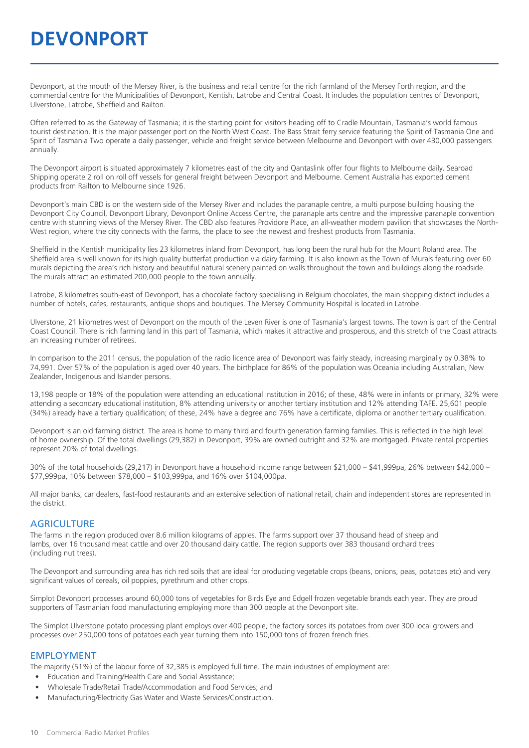# **DEVONPORT**

Devonport, at the mouth of the Mersey River, is the business and retail centre for the rich farmland of the Mersey Forth region, and the commercial centre for the Municipalities of Devonport, Kentish, Latrobe and Central Coast. It includes the population centres of Devonport, Ulverstone, Latrobe, Sheffield and Railton.

Often referred to as the Gateway of Tasmania; it is the starting point for visitors heading off to Cradle Mountain, Tasmania's world famous tourist destination. It is the major passenger port on the North West Coast. The Bass Strait ferry service featuring the Spirit of Tasmania One and Spirit of Tasmania Two operate a daily passenger, vehicle and freight service between Melbourne and Devonport with over 430,000 passengers annually.

The Devonport airport is situated approximately 7 kilometres east of the city and Qantaslink offer four flights to Melbourne daily. Searoad Shipping operate 2 roll on roll off vessels for general freight between Devonport and Melbourne. Cement Australia has exported cement products from Railton to Melbourne since 1926.

Devonport's main CBD is on the western side of the Mersey River and includes the paranaple centre, a multi purpose building housing the Devonport City Council, Devonport Library, Devonport Online Access Centre, the paranaple arts centre and the impressive paranaple convention centre with stunning views of the Mersey River. The CBD also features Providore Place, an all-weather modern pavilion that showcases the North-West region, where the city connects with the farms, the place to see the newest and freshest products from Tasmania.

Sheffield in the Kentish municipality lies 23 kilometres inland from Devonport, has long been the rural hub for the Mount Roland area. The Sheffield area is well known for its high quality butterfat production via dairy farming. It is also known as the Town of Murals featuring over 60 murals depicting the area's rich history and beautiful natural scenery painted on walls throughout the town and buildings along the roadside. The murals attract an estimated 200,000 people to the town annually.

Latrobe, 8 kilometres south-east of Devonport, has a chocolate factory specialising in Belgium chocolates, the main shopping district includes a number of hotels, cafes, restaurants, antique shops and boutiques. The Mersey Community Hospital is located in Latrobe.

Ulverstone, 21 kilometres west of Devonport on the mouth of the Leven River is one of Tasmania's largest towns. The town is part of the Central Coast Council. There is rich farming land in this part of Tasmania, which makes it attractive and prosperous, and this stretch of the Coast attracts an increasing number of retirees.

In comparison to the 2011 census, the population of the radio licence area of Devonport was fairly steady, increasing marginally by 0.38% to 74,991. Over 57% of the population is aged over 40 years. The birthplace for 86% of the population was Oceania including Australian, New Zealander, Indigenous and Islander persons.

13,198 people or 18% of the population were attending an educational institution in 2016; of these, 48% were in infants or primary, 32% were attending a secondary educational institution, 8% attending university or another tertiary institution and 12% attending TAFE. 25,601 people (34%) already have a tertiary qualification; of these, 24% have a degree and 76% have a certificate, diploma or another tertiary qualification.

Devonport is an old farming district. The area is home to many third and fourth generation farming families. This is reflected in the high level of home ownership. Of the total dwellings (29,382) in Devonport, 39% are owned outright and 32% are mortgaged. Private rental properties represent 20% of total dwellings.

30% of the total households (29,217) in Devonport have a household income range between \$21,000 – \$41,999pa, 26% between \$42,000 – \$77,999pa, 10% between \$78,000 – \$103,999pa, and 16% over \$104,000pa.

All major banks, car dealers, fast-food restaurants and an extensive selection of national retail, chain and independent stores are represented in the district.

#### **AGRICULTURE**

The farms in the region produced over 8.6 million kilograms of apples. The farms support over 37 thousand head of sheep and lambs, over 16 thousand meat cattle and over 20 thousand dairy cattle. The region supports over 383 thousand orchard trees (including nut trees).

The Devonport and surrounding area has rich red soils that are ideal for producing vegetable crops (beans, onions, peas, potatoes etc) and very significant values of cereals, oil poppies, pyrethrum and other crops.

Simplot Devonport processes around 60,000 tons of vegetables for Birds Eye and Edgell frozen vegetable brands each year. They are proud supporters of Tasmanian food manufacturing employing more than 300 people at the Devonport site.

The Simplot Ulverstone potato processing plant employs over 400 people, the factory sorces its potatoes from over 300 local growers and processes over 250,000 tons of potatoes each year turning them into 150,000 tons of frozen french fries.

#### EMPLOYMENT

The majority (51%) of the labour force of 32,385 is employed full time. The main industries of employment are:

- Education and Training/Health Care and Social Assistance;
- Wholesale Trade/Retail Trade/Accommodation and Food Services; and
- Manufacturing/Electricity Gas Water and Waste Services/Construction.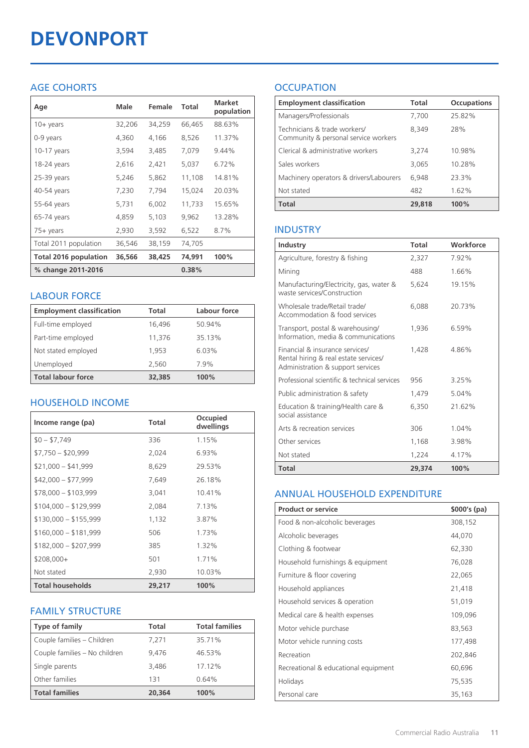# **DEVONPORT**

## AGE COHORTS

| Age                   | Male   | Female | Total  | Market<br>population |
|-----------------------|--------|--------|--------|----------------------|
| $10 + \gamma$ ears    | 32,206 | 34,259 | 66,465 | 88.63%               |
| 0-9 years             | 4,360  | 4,166  | 8,526  | 11.37%               |
| $10-17$ years         | 3,594  | 3,485  | 7,079  | 9.44%                |
| 18-24 years           | 2,616  | 2,421  | 5,037  | 6.72%                |
| 25-39 years           | 5,246  | 5,862  | 11,108 | 14.81%               |
| 40-54 years           | 7,230  | 7,794  | 15,024 | 20.03%               |
| 55-64 years           | 5,731  | 6,002  | 11,733 | 15.65%               |
| 65-74 years           | 4,859  | 5,103  | 9,962  | 13.28%               |
| 75+ years             | 2,930  | 3,592  | 6,522  | 8.7%                 |
| Total 2011 population | 36,546 | 38,159 | 74,705 |                      |
| Total 2016 population | 36,566 | 38,425 | 74,991 | 100%                 |
| % change 2011-2016    |        |        | 0.38%  |                      |

## LABOUR FORCE

| <b>Employment classification</b> | Total  | Labour force |
|----------------------------------|--------|--------------|
| Full-time employed               | 16,496 | 50.94%       |
| Part-time employed               | 11,376 | 35.13%       |
| Not stated employed              | 1.953  | 6.03%        |
| Unemployed                       | 2,560  | 7.9%         |
| <b>Total labour force</b>        | 32,385 | 100%         |

## HOUSEHOLD INCOME

| Income range (pa)       | Total  | Occupied<br>dwellings |
|-------------------------|--------|-----------------------|
| $$0 - $7,749$           | 336    | 1.15%                 |
| $$7,750 - $20,999$      | 2,024  | 6.93%                 |
| $$21,000 - $41,999$     | 8,629  | 29.53%                |
| $$42,000 - $77,999$     | 7,649  | 26.18%                |
| $$78,000 - $103,999$    | 3,041  | 10.41%                |
| $$104,000 - $129,999$   | 2,084  | 7.13%                 |
| $$130,000 - $155,999$   | 1,132  | 3.87%                 |
| $$160,000 - $181,999$   | 506    | 1.73%                 |
| $$182,000 - $207,999$   | 385    | 1.32%                 |
| $$208,000+$             | 501    | 1.71%                 |
| Not stated              | 2,930  | 10.03%                |
| <b>Total households</b> | 29,217 | 100%                  |

## FAMILY STRUCTURE

| <b>Type of family</b>         | <b>Total</b> | <b>Total families</b> |
|-------------------------------|--------------|-----------------------|
| Couple families - Children    | 7.271        | 35.71%                |
| Couple families - No children | 9.476        | 46.53%                |
| Single parents                | 3.486        | 17.12%                |
| Other families                | 131          | 0.64%                 |
| <b>Total families</b>         | 20,364       | 100%                  |

## **OCCUPATION**

| <b>Employment classification</b>                                     | <b>Total</b> | <b>Occupations</b> |
|----------------------------------------------------------------------|--------------|--------------------|
| Managers/Professionals                                               | 7,700        | 25.82%             |
| Technicians & trade workers/<br>Community & personal service workers | 8,349        | 28%                |
| Clerical & administrative workers                                    | 3.274        | 10.98%             |
| Sales workers                                                        | 3,065        | 10.28%             |
| Machinery operators & drivers/Labourers                              | 6,948        | 23.3%              |
| Not stated                                                           | 482          | 1.62%              |
| <b>Total</b>                                                         | 29,818       | 100%               |

### INDUSTRY

| Industry                                                                                                      | Total  | Workforce |
|---------------------------------------------------------------------------------------------------------------|--------|-----------|
| Agriculture, forestry & fishing                                                                               | 2,327  | 7.92%     |
| Mining                                                                                                        | 488    | 1.66%     |
| Manufacturing/Electricity, gas, water &<br>waste services/Construction                                        | 5,624  | 19.15%    |
| Wholesale trade/Retail trade/<br>Accommodation & food services                                                | 6.088  | 20 73%    |
| Transport, postal & warehousing/<br>Information, media & communications                                       | 1,936  | 6.59%     |
| Financial & insurance services/<br>Rental hiring & real estate services/<br>Administration & support services | 1,428  | 4.86%     |
| Professional scientific & technical services                                                                  | 956    | 3.25%     |
| Public administration & safety                                                                                | 1,479  | 5.04%     |
| Education & training/Health care &<br>social assistance                                                       | 6,350  | 21.62%    |
| Arts & recreation services                                                                                    | 306    | 1.04%     |
| Other services                                                                                                | 1,168  | 3.98%     |
| Not stated                                                                                                    | 1,224  | 4.17%     |
| <b>Total</b>                                                                                                  | 29,374 | 100%      |

#### ANNUAL HOUSEHOLD EXPENDITURE

| <b>Product or service</b>            | $$000's$ (pa) |
|--------------------------------------|---------------|
| Food & non-alcoholic beverages       | 308,152       |
| Alcoholic beverages                  | 44,070        |
| Clothing & footwear                  | 62,330        |
| Household furnishings & equipment    | 76,028        |
| Furniture & floor covering           | 22,065        |
| Household appliances                 | 21,418        |
| Household services & operation       | 51,019        |
| Medical care & health expenses       | 109,096       |
| Motor vehicle purchase               | 83,563        |
| Motor vehicle running costs          | 177,498       |
| Recreation                           | 202,846       |
| Recreational & educational equipment | 60,696        |
| Holidays                             | 75,535        |
| Personal care                        | 35,163        |